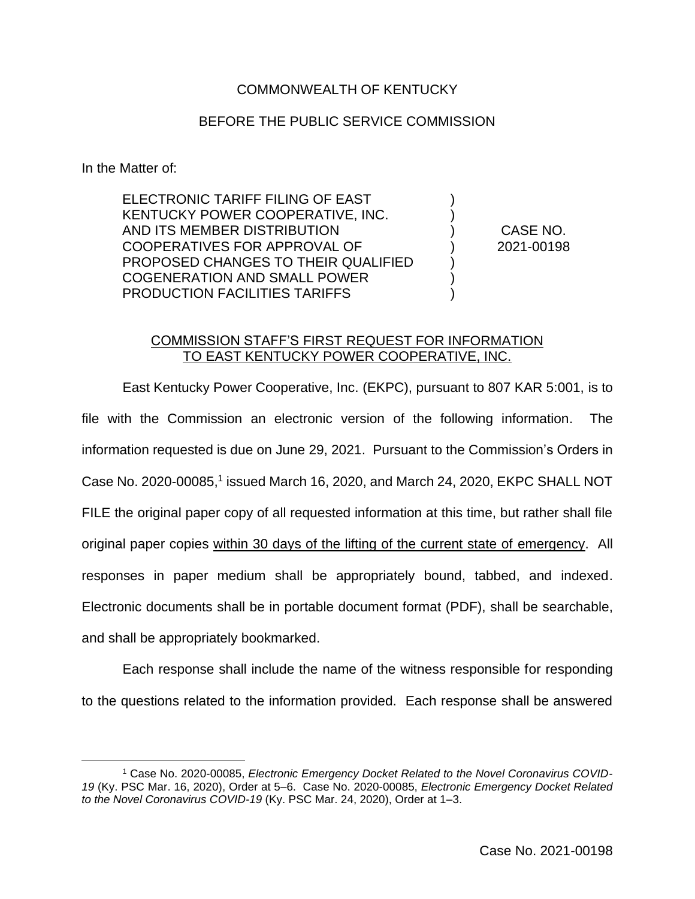## COMMONWEALTH OF KENTUCKY

## BEFORE THE PUBLIC SERVICE COMMISSION

In the Matter of:

ELECTRONIC TARIFF FILING OF EAST KENTUCKY POWER COOPERATIVE, INC. AND ITS MEMBER DISTRIBUTION COOPERATIVES FOR APPROVAL OF PROPOSED CHANGES TO THEIR QUALIFIED COGENERATION AND SMALL POWER PRODUCTION FACILITIES TARIFFS

CASE NO. 2021-00198

) ) ) ) ) ) )

## COMMISSION STAFF'S FIRST REQUEST FOR INFORMATION TO EAST KENTUCKY POWER COOPERATIVE, INC.

East Kentucky Power Cooperative, Inc. (EKPC), pursuant to 807 KAR 5:001, is to file with the Commission an electronic version of the following information. The information requested is due on June 29, 2021. Pursuant to the Commission's Orders in Case No. 2020-00085,<sup>1</sup> issued March 16, 2020, and March 24, 2020, EKPC SHALL NOT FILE the original paper copy of all requested information at this time, but rather shall file original paper copies within 30 days of the lifting of the current state of emergency. All responses in paper medium shall be appropriately bound, tabbed, and indexed. Electronic documents shall be in portable document format (PDF), shall be searchable, and shall be appropriately bookmarked.

Each response shall include the name of the witness responsible for responding to the questions related to the information provided. Each response shall be answered

<sup>1</sup> Case No. 2020-00085, *Electronic Emergency Docket Related to the Novel Coronavirus COVID-19* (Ky. PSC Mar. 16, 2020), Order at 5–6. Case No. 2020-00085, *Electronic Emergency Docket Related to the Novel Coronavirus COVID-19* (Ky. PSC Mar. 24, 2020), Order at 1–3.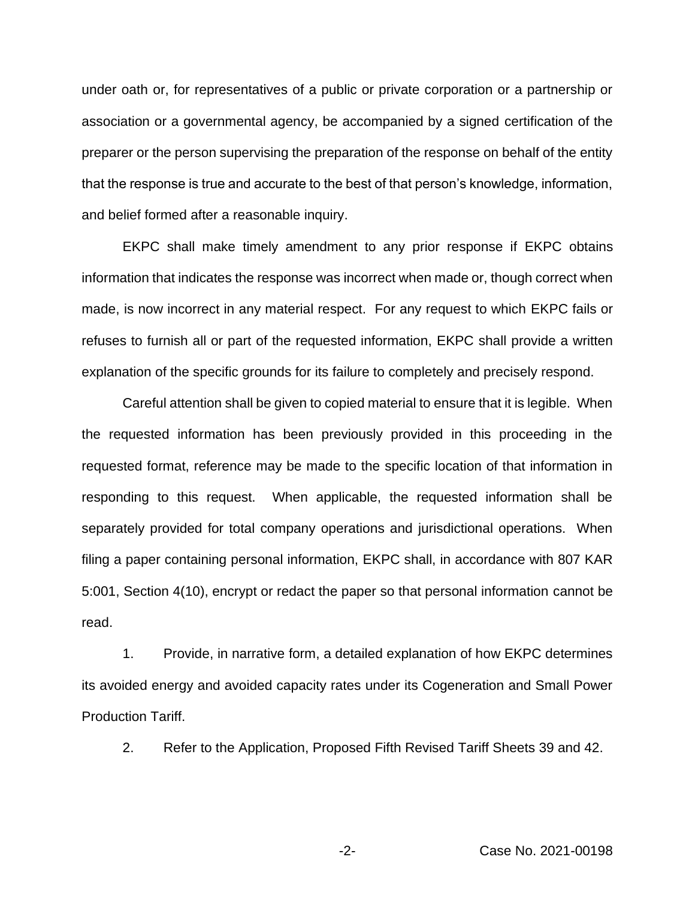under oath or, for representatives of a public or private corporation or a partnership or association or a governmental agency, be accompanied by a signed certification of the preparer or the person supervising the preparation of the response on behalf of the entity that the response is true and accurate to the best of that person's knowledge, information, and belief formed after a reasonable inquiry.

EKPC shall make timely amendment to any prior response if EKPC obtains information that indicates the response was incorrect when made or, though correct when made, is now incorrect in any material respect. For any request to which EKPC fails or refuses to furnish all or part of the requested information, EKPC shall provide a written explanation of the specific grounds for its failure to completely and precisely respond.

Careful attention shall be given to copied material to ensure that it is legible. When the requested information has been previously provided in this proceeding in the requested format, reference may be made to the specific location of that information in responding to this request. When applicable, the requested information shall be separately provided for total company operations and jurisdictional operations. When filing a paper containing personal information, EKPC shall, in accordance with 807 KAR 5:001, Section 4(10), encrypt or redact the paper so that personal information cannot be read.

1. Provide, in narrative form, a detailed explanation of how EKPC determines its avoided energy and avoided capacity rates under its Cogeneration and Small Power Production Tariff.

2. Refer to the Application, Proposed Fifth Revised Tariff Sheets 39 and 42.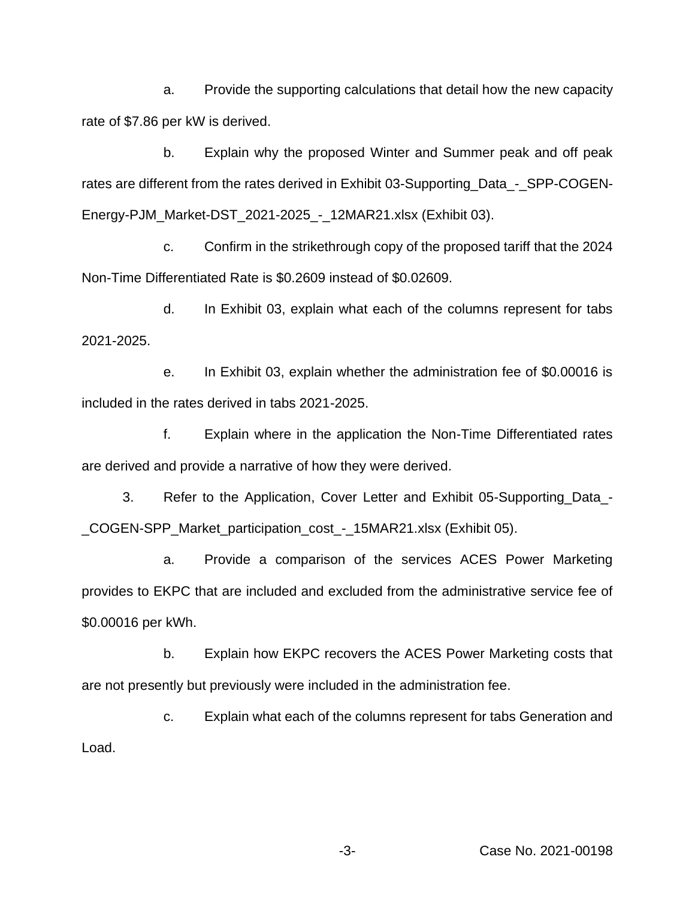a. Provide the supporting calculations that detail how the new capacity rate of \$7.86 per kW is derived.

b. Explain why the proposed Winter and Summer peak and off peak rates are different from the rates derived in Exhibit 03-Supporting\_Data\_-\_SPP-COGEN-Energy-PJM\_Market-DST\_2021-2025\_-\_12MAR21.xlsx (Exhibit 03).

c. Confirm in the strikethrough copy of the proposed tariff that the 2024 Non-Time Differentiated Rate is \$0.2609 instead of \$0.02609.

d. In Exhibit 03, explain what each of the columns represent for tabs 2021-2025.

e. In Exhibit 03, explain whether the administration fee of \$0.00016 is included in the rates derived in tabs 2021-2025.

f. Explain where in the application the Non-Time Differentiated rates are derived and provide a narrative of how they were derived.

3. Refer to the Application, Cover Letter and Exhibit 05-Supporting\_Data\_- \_COGEN-SPP\_Market\_participation\_cost\_-\_15MAR21.xlsx (Exhibit 05).

a. Provide a comparison of the services ACES Power Marketing provides to EKPC that are included and excluded from the administrative service fee of \$0.00016 per kWh.

b. Explain how EKPC recovers the ACES Power Marketing costs that are not presently but previously were included in the administration fee.

c. Explain what each of the columns represent for tabs Generation and Load.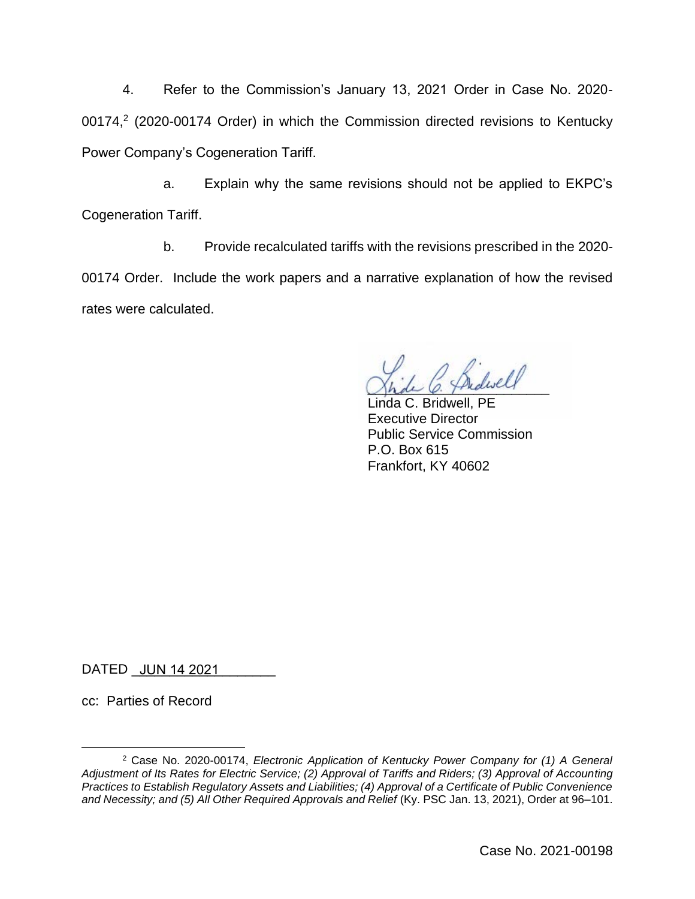4. Refer to the Commission's January 13, 2021 Order in Case No. 2020- 00174, $2$  (2020-00174 Order) in which the Commission directed revisions to Kentucky Power Company's Cogeneration Tariff.

a. Explain why the same revisions should not be applied to EKPC's Cogeneration Tariff.

b. Provide recalculated tariffs with the revisions prescribed in the 2020- 00174 Order. Include the work papers and a narrative explanation of how the revised rates were calculated.

Shde O. Thedweer

Linda C. Bridwell, PE Executive Director Public Service Commission P.O. Box 615 Frankfort, KY 40602

DATED <u>\_JUN 14 2021 \_</u>\_\_\_\_\_\_\_

cc: Parties of Record

<sup>2</sup> Case No. 2020-00174, *Electronic Application of Kentucky Power Company for (1) A General Adjustment of Its Rates for Electric Service; (2) Approval of Tariffs and Riders; (3) Approval of Accounting Practices to Establish Regulatory Assets and Liabilities; (4) Approval of a Certificate of Public Convenience*  and Necessity; and (5) All Other Required Approvals and Relief (Ky. PSC Jan. 13, 2021), Order at 96–101.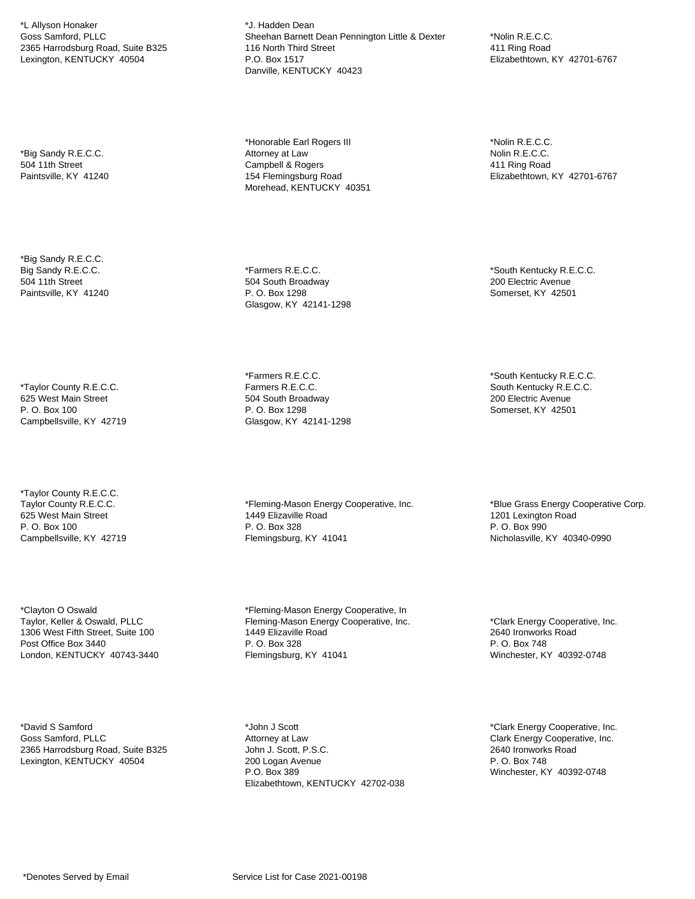\*L Allyson Honaker Goss Samford, PLLC 2365 Harrodsburg Road, Suite B325 Lexington, KENTUCKY 40504

\*Big Sandy R.E.C.C. 504 11th Street Paintsville, KY 41240

\*Big Sandy R.E.C.C. Big Sandy R.E.C.C. 504 11th Street Paintsville, KY 41240

\*Taylor County R.E.C.C. 625 West Main Street P. O. Box 100 Campbellsville, KY 42719

\*Taylor County R.E.C.C. Taylor County R.E.C.C. 625 West Main Street P. O. Box 100 Campbellsville, KY 42719

\*Clayton O Oswald Taylor, Keller & Oswald, PLLC 1306 West Fifth Street, Suite 100 Post Office Box 3440 London, KENTUCKY 40743-3440

\*David S Samford Goss Samford, PLLC 2365 Harrodsburg Road, Suite B325 Lexington, KENTUCKY 40504

\*J. Hadden Dean Sheehan Barnett Dean Pennington Little & Dexter 116 North Third Street P.O. Box 1517 Danville, KENTUCKY 40423

\*Honorable Earl Rogers III Attorney at Law Campbell & Rogers 154 Flemingsburg Road Morehead, KENTUCKY 40351

\*Farmers R.E.C.C. 504 South Broadway P. O. Box 1298 Glasgow, KY 42141-1298

\*Farmers R.E.C.C. Farmers R.E.C.C. 504 South Broadway P. O. Box 1298 Glasgow, KY 42141-1298

\*Fleming-Mason Energy Cooperative, Inc. 1449 Elizaville Road P. O. Box 328 Flemingsburg, KY 41041

\*Fleming-Mason Energy Cooperative, In Fleming-Mason Energy Cooperative, Inc. 1449 Elizaville Road P. O. Box 328 Flemingsburg, KY 41041

\*Nolin R.E.C.C. 411 Ring Road Elizabethtown, KY 42701-6767

\*Nolin R.E.C.C. Nolin R.E.C.C. 411 Ring Road Elizabethtown, KY 42701-6767

\*South Kentucky R.E.C.C. 200 Electric Avenue Somerset, KY 42501

\*South Kentucky R.E.C.C. South Kentucky R.E.C.C. 200 Electric Avenue Somerset, KY 42501

\*Blue Grass Energy Cooperative Corp. 1201 Lexington Road P. O. Box 990 Nicholasville, KY 40340-0990

\*Clark Energy Cooperative, Inc. 2640 Ironworks Road P. O. Box 748 Winchester, KY 40392-0748

\*John J Scott Attorney at Law John J. Scott, P.S.C. 200 Logan Avenue P.O. Box 389 Elizabethtown, KENTUCKY 42702-038

\*Clark Energy Cooperative, Inc. Clark Energy Cooperative, Inc. 2640 Ironworks Road P. O. Box 748 Winchester, KY 40392-0748